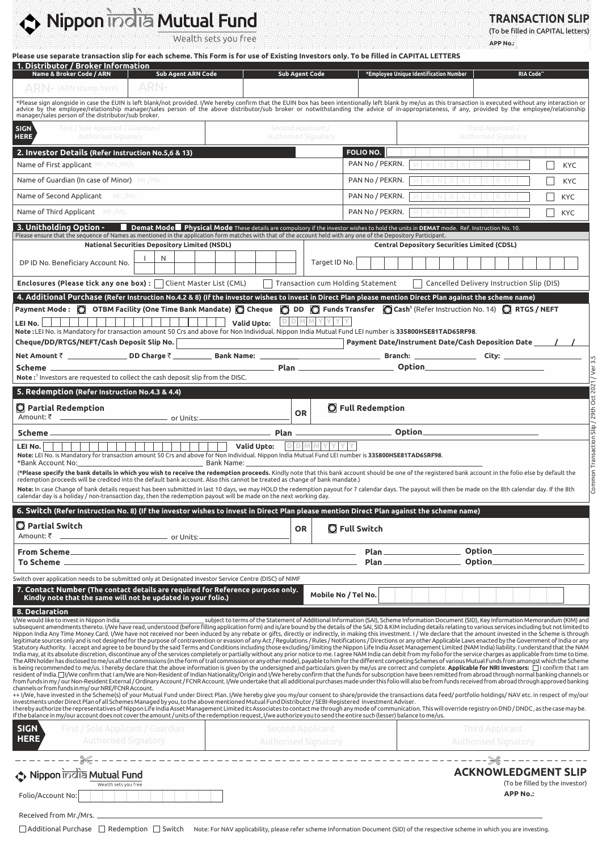# Nippon india Mutual Fund

Wealth sets you free

**TRANSACTION SLIP** (To be filled in CAPITAL letters)

VAN

//2

**THE REAL PROPERTY AND A REAL PROPERTY** 

| ARN-<br>$\mathsf{ARM}\text{-}$ (ARN stamp here).                                                                                                                                                                                                                                                                                                                                                                                                                                                                                                                                                                                                                                                                                                                                                                                                                                                                                                                                                                                                                                                                                                                                                                                                                                                                                                                                                                                                                                                                                                                                                                                                                                                                                                                                                                                                                                                                                                                                                                                                                                                                                                                                                                                                                                                                                                                                                                                                                                                                                                                                                                                                                                                                                                                                                                                                                                                                                                                                                                                                                                           | <b>Sub Agent Code</b><br>*Employee Unique Identification Number<br>RIA Code <sup>+</sup>                                                                                                                                         |            |
|--------------------------------------------------------------------------------------------------------------------------------------------------------------------------------------------------------------------------------------------------------------------------------------------------------------------------------------------------------------------------------------------------------------------------------------------------------------------------------------------------------------------------------------------------------------------------------------------------------------------------------------------------------------------------------------------------------------------------------------------------------------------------------------------------------------------------------------------------------------------------------------------------------------------------------------------------------------------------------------------------------------------------------------------------------------------------------------------------------------------------------------------------------------------------------------------------------------------------------------------------------------------------------------------------------------------------------------------------------------------------------------------------------------------------------------------------------------------------------------------------------------------------------------------------------------------------------------------------------------------------------------------------------------------------------------------------------------------------------------------------------------------------------------------------------------------------------------------------------------------------------------------------------------------------------------------------------------------------------------------------------------------------------------------------------------------------------------------------------------------------------------------------------------------------------------------------------------------------------------------------------------------------------------------------------------------------------------------------------------------------------------------------------------------------------------------------------------------------------------------------------------------------------------------------------------------------------------------------------------------------------------------------------------------------------------------------------------------------------------------------------------------------------------------------------------------------------------------------------------------------------------------------------------------------------------------------------------------------------------------------------------------------------------------------------------------------------------------|----------------------------------------------------------------------------------------------------------------------------------------------------------------------------------------------------------------------------------|------------|
|                                                                                                                                                                                                                                                                                                                                                                                                                                                                                                                                                                                                                                                                                                                                                                                                                                                                                                                                                                                                                                                                                                                                                                                                                                                                                                                                                                                                                                                                                                                                                                                                                                                                                                                                                                                                                                                                                                                                                                                                                                                                                                                                                                                                                                                                                                                                                                                                                                                                                                                                                                                                                                                                                                                                                                                                                                                                                                                                                                                                                                                                                            |                                                                                                                                                                                                                                  |            |
| manager/sales person of the distributor/sub broker.                                                                                                                                                                                                                                                                                                                                                                                                                                                                                                                                                                                                                                                                                                                                                                                                                                                                                                                                                                                                                                                                                                                                                                                                                                                                                                                                                                                                                                                                                                                                                                                                                                                                                                                                                                                                                                                                                                                                                                                                                                                                                                                                                                                                                                                                                                                                                                                                                                                                                                                                                                                                                                                                                                                                                                                                                                                                                                                                                                                                                                        | *Please sign alongside in case the EUIN is left blank/not provided. I/We hereby confirm that the EUIN box has been intentionally left blank by me/us as this transaction is executed without any interaction or<br>advice by the |            |
| First / Sole Applicant / Guardian /<br><b>SIGN</b><br><b>HERE</b><br>Authorised Signatory                                                                                                                                                                                                                                                                                                                                                                                                                                                                                                                                                                                                                                                                                                                                                                                                                                                                                                                                                                                                                                                                                                                                                                                                                                                                                                                                                                                                                                                                                                                                                                                                                                                                                                                                                                                                                                                                                                                                                                                                                                                                                                                                                                                                                                                                                                                                                                                                                                                                                                                                                                                                                                                                                                                                                                                                                                                                                                                                                                                                  | Second Applicant /<br>Third Applicant /<br><b>Authorised Signatory</b><br>Authorised Signatory                                                                                                                                   |            |
| 2. Investor Details (Refer Instruction No.5,6 & 13)                                                                                                                                                                                                                                                                                                                                                                                                                                                                                                                                                                                                                                                                                                                                                                                                                                                                                                                                                                                                                                                                                                                                                                                                                                                                                                                                                                                                                                                                                                                                                                                                                                                                                                                                                                                                                                                                                                                                                                                                                                                                                                                                                                                                                                                                                                                                                                                                                                                                                                                                                                                                                                                                                                                                                                                                                                                                                                                                                                                                                                        | FOLIO NO.                                                                                                                                                                                                                        |            |
| <b>Name of First applicant</b> Mr./Ms./M/s                                                                                                                                                                                                                                                                                                                                                                                                                                                                                                                                                                                                                                                                                                                                                                                                                                                                                                                                                                                                                                                                                                                                                                                                                                                                                                                                                                                                                                                                                                                                                                                                                                                                                                                                                                                                                                                                                                                                                                                                                                                                                                                                                                                                                                                                                                                                                                                                                                                                                                                                                                                                                                                                                                                                                                                                                                                                                                                                                                                                                                                 | PAN No / PEKRN.<br>ANDATOR                                                                                                                                                                                                       | <b>KYC</b> |
| Name of Guardian (In case of Minor) Mr./Ms.                                                                                                                                                                                                                                                                                                                                                                                                                                                                                                                                                                                                                                                                                                                                                                                                                                                                                                                                                                                                                                                                                                                                                                                                                                                                                                                                                                                                                                                                                                                                                                                                                                                                                                                                                                                                                                                                                                                                                                                                                                                                                                                                                                                                                                                                                                                                                                                                                                                                                                                                                                                                                                                                                                                                                                                                                                                                                                                                                                                                                                                | PAN No / PEKRN.<br>4 I AIN I DI AIT IO IR IY                                                                                                                                                                                     | <b>KYC</b> |
| Name of Second Applicant Mr./Ms.                                                                                                                                                                                                                                                                                                                                                                                                                                                                                                                                                                                                                                                                                                                                                                                                                                                                                                                                                                                                                                                                                                                                                                                                                                                                                                                                                                                                                                                                                                                                                                                                                                                                                                                                                                                                                                                                                                                                                                                                                                                                                                                                                                                                                                                                                                                                                                                                                                                                                                                                                                                                                                                                                                                                                                                                                                                                                                                                                                                                                                                           | PAN No / PEKRN.<br>D A                                                                                                                                                                                                           | <b>KYC</b> |
| Name of Third Applicant Mr./Ms.                                                                                                                                                                                                                                                                                                                                                                                                                                                                                                                                                                                                                                                                                                                                                                                                                                                                                                                                                                                                                                                                                                                                                                                                                                                                                                                                                                                                                                                                                                                                                                                                                                                                                                                                                                                                                                                                                                                                                                                                                                                                                                                                                                                                                                                                                                                                                                                                                                                                                                                                                                                                                                                                                                                                                                                                                                                                                                                                                                                                                                                            | PAN No / PEKRN.                                                                                                                                                                                                                  | KYC        |
| 3. Unitholding Option - Demat Mode Physical Mode These details are compulsory if the investor wishes to hold the units in DEMAT mode. Ref. Instruction No. 10.<br>Please ensure that the sequence of Names as mentioned in the application form matches with that of the account held with any one of the Depository Participant.                                                                                                                                                                                                                                                                                                                                                                                                                                                                                                                                                                                                                                                                                                                                                                                                                                                                                                                                                                                                                                                                                                                                                                                                                                                                                                                                                                                                                                                                                                                                                                                                                                                                                                                                                                                                                                                                                                                                                                                                                                                                                                                                                                                                                                                                                                                                                                                                                                                                                                                                                                                                                                                                                                                                                          |                                                                                                                                                                                                                                  |            |
| <b>National Securities Depository Limited (NSDL)</b>                                                                                                                                                                                                                                                                                                                                                                                                                                                                                                                                                                                                                                                                                                                                                                                                                                                                                                                                                                                                                                                                                                                                                                                                                                                                                                                                                                                                                                                                                                                                                                                                                                                                                                                                                                                                                                                                                                                                                                                                                                                                                                                                                                                                                                                                                                                                                                                                                                                                                                                                                                                                                                                                                                                                                                                                                                                                                                                                                                                                                                       | <b>Central Depository Securities Limited (CDSL)</b>                                                                                                                                                                              |            |
| N<br>DP ID No. Beneficiary Account No.                                                                                                                                                                                                                                                                                                                                                                                                                                                                                                                                                                                                                                                                                                                                                                                                                                                                                                                                                                                                                                                                                                                                                                                                                                                                                                                                                                                                                                                                                                                                                                                                                                                                                                                                                                                                                                                                                                                                                                                                                                                                                                                                                                                                                                                                                                                                                                                                                                                                                                                                                                                                                                                                                                                                                                                                                                                                                                                                                                                                                                                     | Target ID No.                                                                                                                                                                                                                    |            |
| <b>Enclosures (Please tick any one box)</b> : $\Box$ Client Master List (CML)                                                                                                                                                                                                                                                                                                                                                                                                                                                                                                                                                                                                                                                                                                                                                                                                                                                                                                                                                                                                                                                                                                                                                                                                                                                                                                                                                                                                                                                                                                                                                                                                                                                                                                                                                                                                                                                                                                                                                                                                                                                                                                                                                                                                                                                                                                                                                                                                                                                                                                                                                                                                                                                                                                                                                                                                                                                                                                                                                                                                              | Transaction cum Holding Statement<br>Cancelled Delivery Instruction Slip (DIS)                                                                                                                                                   |            |
| 4. Additional Purchase (Refer Instruction No.4.2 & 8) (If the investor wishes to invest in Direct Plan please mention Direct Plan against the scheme name)                                                                                                                                                                                                                                                                                                                                                                                                                                                                                                                                                                                                                                                                                                                                                                                                                                                                                                                                                                                                                                                                                                                                                                                                                                                                                                                                                                                                                                                                                                                                                                                                                                                                                                                                                                                                                                                                                                                                                                                                                                                                                                                                                                                                                                                                                                                                                                                                                                                                                                                                                                                                                                                                                                                                                                                                                                                                                                                                 |                                                                                                                                                                                                                                  |            |
| Payment Mode: 0 OTBM Facility (One Time Bank Mandate) O Cheque 0 DD 0 Funds Transfer 0 Cash <sup>5</sup> (Refer Instruction No. 14) O RTGS / NEFT<br>LEI No.<br>Note:LEI No. is Mandatory for transaction amount 50 Crs and above for Non Individual. Nippon India Mutual Fund LEI number is 335800HSE81TAD65RF98.<br>Cheque/DD/RTGS/NEFT/Cash Deposit Slip No.                                                                                                                                                                                                                                                                                                                                                                                                                                                                                                                                                                                                                                                                                                                                                                                                                                                                                                                                                                                                                                                                                                                                                                                                                                                                                                                                                                                                                                                                                                                                                                                                                                                                                                                                                                                                                                                                                                                                                                                                                                                                                                                                                                                                                                                                                                                                                                                                                                                                                                                                                                                                                                                                                                                            | $D D M M Y Y Y Y$<br>Payment Date/Instrument Date/Cash Deposition Date _______/_____/                                                                                                                                            |            |
| <u> 1989 - Johann Stoff, deutscher Stoffen und der Stoffen und der Stoffen und der Stoffen und der Stoffen und der</u>                                                                                                                                                                                                                                                                                                                                                                                                                                                                                                                                                                                                                                                                                                                                                                                                                                                                                                                                                                                                                                                                                                                                                                                                                                                                                                                                                                                                                                                                                                                                                                                                                                                                                                                                                                                                                                                                                                                                                                                                                                                                                                                                                                                                                                                                                                                                                                                                                                                                                                                                                                                                                                                                                                                                                                                                                                                                                                                                                                     |                                                                                                                                                                                                                                  |            |
|                                                                                                                                                                                                                                                                                                                                                                                                                                                                                                                                                                                                                                                                                                                                                                                                                                                                                                                                                                                                                                                                                                                                                                                                                                                                                                                                                                                                                                                                                                                                                                                                                                                                                                                                                                                                                                                                                                                                                                                                                                                                                                                                                                                                                                                                                                                                                                                                                                                                                                                                                                                                                                                                                                                                                                                                                                                                                                                                                                                                                                                                                            |                                                                                                                                                                                                                                  |            |
| <b>Note:</b> Investors are requested to collect the cash deposit slip from the DISC.                                                                                                                                                                                                                                                                                                                                                                                                                                                                                                                                                                                                                                                                                                                                                                                                                                                                                                                                                                                                                                                                                                                                                                                                                                                                                                                                                                                                                                                                                                                                                                                                                                                                                                                                                                                                                                                                                                                                                                                                                                                                                                                                                                                                                                                                                                                                                                                                                                                                                                                                                                                                                                                                                                                                                                                                                                                                                                                                                                                                       |                                                                                                                                                                                                                                  |            |
| 5. Redemption (Refer Instruction No.4.3 & 4.4)                                                                                                                                                                                                                                                                                                                                                                                                                                                                                                                                                                                                                                                                                                                                                                                                                                                                                                                                                                                                                                                                                                                                                                                                                                                                                                                                                                                                                                                                                                                                                                                                                                                                                                                                                                                                                                                                                                                                                                                                                                                                                                                                                                                                                                                                                                                                                                                                                                                                                                                                                                                                                                                                                                                                                                                                                                                                                                                                                                                                                                             |                                                                                                                                                                                                                                  |            |
| <b>Q</b> Partial Redemption                                                                                                                                                                                                                                                                                                                                                                                                                                                                                                                                                                                                                                                                                                                                                                                                                                                                                                                                                                                                                                                                                                                                                                                                                                                                                                                                                                                                                                                                                                                                                                                                                                                                                                                                                                                                                                                                                                                                                                                                                                                                                                                                                                                                                                                                                                                                                                                                                                                                                                                                                                                                                                                                                                                                                                                                                                                                                                                                                                                                                                                                | <b>O</b> Full Redemption<br><b>OR</b>                                                                                                                                                                                            |            |
| Scheme_                                                                                                                                                                                                                                                                                                                                                                                                                                                                                                                                                                                                                                                                                                                                                                                                                                                                                                                                                                                                                                                                                                                                                                                                                                                                                                                                                                                                                                                                                                                                                                                                                                                                                                                                                                                                                                                                                                                                                                                                                                                                                                                                                                                                                                                                                                                                                                                                                                                                                                                                                                                                                                                                                                                                                                                                                                                                                                                                                                                                                                                                                    |                                                                                                                                                                                                                                  |            |
| Valid Upto:<br><b>DID</b><br>LEI No.<br>Note: LEI No. is Mandatory for transaction amount 50 Crs and above for Non Individual. Nippon India Mutual Fund LEI number is 335800HSE81TAD65RF98.<br>*Bank Account No: Notify the State of Bank Name:<br>(*Please specify the bank details in which you wish to receive the redemption proceeds. Kindly note that this bank account should be one of the registered bank account in the folio else by default the the folio else the fe<br>redemption proceeds will be credited into the default bank account. Also this cannot be treated as change of bank mandate.)<br>Note: In case Change of bank details request has been submitted in last 10 days, we may HOLD the redemption payout for 7 calendar days. The payout will then be made on the 8th calendar day. If the 8th<br>calendar day is a holiday / non-transaction day, then the redemption payout will be made on the next working day.                                                                                                                                                                                                                                                                                                                                                                                                                                                                                                                                                                                                                                                                                                                                                                                                                                                                                                                                                                                                                                                                                                                                                                                                                                                                                                                                                                                                                                                                                                                                                                                                                                                                                                                                                                                                                                                                                                                                                                                                                                                                                                                                          |                                                                                                                                                                                                                                  |            |
| 6. Switch (Refer Instruction No. 8) (If the investor wishes to invest in Direct Plan please mention Direct Plan against the scheme name)                                                                                                                                                                                                                                                                                                                                                                                                                                                                                                                                                                                                                                                                                                                                                                                                                                                                                                                                                                                                                                                                                                                                                                                                                                                                                                                                                                                                                                                                                                                                                                                                                                                                                                                                                                                                                                                                                                                                                                                                                                                                                                                                                                                                                                                                                                                                                                                                                                                                                                                                                                                                                                                                                                                                                                                                                                                                                                                                                   |                                                                                                                                                                                                                                  |            |
| $\mathbf 0$ Partial Switch                                                                                                                                                                                                                                                                                                                                                                                                                                                                                                                                                                                                                                                                                                                                                                                                                                                                                                                                                                                                                                                                                                                                                                                                                                                                                                                                                                                                                                                                                                                                                                                                                                                                                                                                                                                                                                                                                                                                                                                                                                                                                                                                                                                                                                                                                                                                                                                                                                                                                                                                                                                                                                                                                                                                                                                                                                                                                                                                                                                                                                                                 | <b>Q</b> Full Switch<br><b>OR</b>                                                                                                                                                                                                |            |
|                                                                                                                                                                                                                                                                                                                                                                                                                                                                                                                                                                                                                                                                                                                                                                                                                                                                                                                                                                                                                                                                                                                                                                                                                                                                                                                                                                                                                                                                                                                                                                                                                                                                                                                                                                                                                                                                                                                                                                                                                                                                                                                                                                                                                                                                                                                                                                                                                                                                                                                                                                                                                                                                                                                                                                                                                                                                                                                                                                                                                                                                                            |                                                                                                                                                                                                                                  |            |
|                                                                                                                                                                                                                                                                                                                                                                                                                                                                                                                                                                                                                                                                                                                                                                                                                                                                                                                                                                                                                                                                                                                                                                                                                                                                                                                                                                                                                                                                                                                                                                                                                                                                                                                                                                                                                                                                                                                                                                                                                                                                                                                                                                                                                                                                                                                                                                                                                                                                                                                                                                                                                                                                                                                                                                                                                                                                                                                                                                                                                                                                                            |                                                                                                                                                                                                                                  |            |
|                                                                                                                                                                                                                                                                                                                                                                                                                                                                                                                                                                                                                                                                                                                                                                                                                                                                                                                                                                                                                                                                                                                                                                                                                                                                                                                                                                                                                                                                                                                                                                                                                                                                                                                                                                                                                                                                                                                                                                                                                                                                                                                                                                                                                                                                                                                                                                                                                                                                                                                                                                                                                                                                                                                                                                                                                                                                                                                                                                                                                                                                                            |                                                                                                                                                                                                                                  |            |
| From Scheme<br>To Scheme L                                                                                                                                                                                                                                                                                                                                                                                                                                                                                                                                                                                                                                                                                                                                                                                                                                                                                                                                                                                                                                                                                                                                                                                                                                                                                                                                                                                                                                                                                                                                                                                                                                                                                                                                                                                                                                                                                                                                                                                                                                                                                                                                                                                                                                                                                                                                                                                                                                                                                                                                                                                                                                                                                                                                                                                                                                                                                                                                                                                                                                                                 |                                                                                                                                                                                                                                  |            |
| Switch over application needs to be submitted only at Designated Investor Service Centre (DISC) of NIMF                                                                                                                                                                                                                                                                                                                                                                                                                                                                                                                                                                                                                                                                                                                                                                                                                                                                                                                                                                                                                                                                                                                                                                                                                                                                                                                                                                                                                                                                                                                                                                                                                                                                                                                                                                                                                                                                                                                                                                                                                                                                                                                                                                                                                                                                                                                                                                                                                                                                                                                                                                                                                                                                                                                                                                                                                                                                                                                                                                                    |                                                                                                                                                                                                                                  |            |
|                                                                                                                                                                                                                                                                                                                                                                                                                                                                                                                                                                                                                                                                                                                                                                                                                                                                                                                                                                                                                                                                                                                                                                                                                                                                                                                                                                                                                                                                                                                                                                                                                                                                                                                                                                                                                                                                                                                                                                                                                                                                                                                                                                                                                                                                                                                                                                                                                                                                                                                                                                                                                                                                                                                                                                                                                                                                                                                                                                                                                                                                                            | Mobile No / Tel No.                                                                                                                                                                                                              |            |
| 7. Contact Number (The contact details are required for Reference purpose only.<br>Kindly note that the same will not be updated in your folio.)<br>8. Declaration<br>I/We would like to invest in Nippon India<br>subsequent amendments thereto. I/We have read, understood (before filling application form) and is/are bound by the details of the SAI, SID & KIM including details relating to various services including but not limited to<br>Support in the Money Card. UNE have not received nor been induced by any rebate or girts, directly or indirectly, in making this investment. I / We declare that the amount invested in the Scheme is through<br>legitimate sources only and is not designed for the purpose of contravention or evasion of any Act / Regulations / Rules / Notifications / Directions or any other Applicable Laws enacted by the Government of India or any<br>Statutory Authority. I accept and agree to be bound by the said Terms and Conditions including those excluding/limiting the Nippon Life India Asset Management Limited (NAM India) liability. I understand that the NAM<br>India may, at its absolute discretion, discontinue any of the services completely or partially without any prior notice to me. I agree NAM India can debit from my folio for the service charges as applicable from time to ti<br>The ARN holder has disclosed to me/us all the commissions (in the form of trail commission or any other mode), payable to him for the different competing Schemes of various Mutual Funds from amongst which the Scheme<br>is being recommended to me/us. I hereby declare that the above information is given by the undersigned and particulars given by me/us are correct and complete. Applicable for NRI Investors: [ I confirm that I am<br>resident of India.□I/We confirm that I am/We are Non-Resident of Indian Nationality/Origin and I/We hereby confirm that the funds for subscription have been remitted from abroad through normal banking channels or<br>from funds in my/our Non-Resident External/Ordinary Account/FCNR Account. I/We undertake that all additional purchases made under this folio will also be from funds received from abroad through approved banking<br>channels or from funds in my/our NRE/FCNR Account.<br>++ I/We, have invested in the Scheme(s) of your Mutual Fund under Direct Plan. I/We hereby give you my/our consent to share/provide the transactions data feed/ portfolio holdings/ NAV etc. in respect of my/our<br>investments under Direct Plan of all Schemes Managed by you, to the above mentioned Mutual Fund Distributor / SEBI-Registered Investment Adviser.<br>I hereby authorize the representatives of Nippon Life India Asset Management Limited its Associates to contact me through any mode of communication. This will override registry on DND / DNDC, as the case may be.<br>If the balance in my/our account does not cover the amount/units of the redemption request, I/we authorize you to send the entire such (lesser) balance to me/us. | subject to terms of the Statement of Additional Information (SAI), Scheme Information Document (SID), Key Information Memorandum (KIM) and                                                                                       |            |
| <b>SIGN</b><br>First / Sole Applicant / Guardian                                                                                                                                                                                                                                                                                                                                                                                                                                                                                                                                                                                                                                                                                                                                                                                                                                                                                                                                                                                                                                                                                                                                                                                                                                                                                                                                                                                                                                                                                                                                                                                                                                                                                                                                                                                                                                                                                                                                                                                                                                                                                                                                                                                                                                                                                                                                                                                                                                                                                                                                                                                                                                                                                                                                                                                                                                                                                                                                                                                                                                           | Second Applicant<br>Third Applicant                                                                                                                                                                                              |            |
| HERE<br>Authorised Signatory                                                                                                                                                                                                                                                                                                                                                                                                                                                                                                                                                                                                                                                                                                                                                                                                                                                                                                                                                                                                                                                                                                                                                                                                                                                                                                                                                                                                                                                                                                                                                                                                                                                                                                                                                                                                                                                                                                                                                                                                                                                                                                                                                                                                                                                                                                                                                                                                                                                                                                                                                                                                                                                                                                                                                                                                                                                                                                                                                                                                                                                               | <b>Authorised Signatory</b><br><b>Authorised Signatory</b>                                                                                                                                                                       |            |
|                                                                                                                                                                                                                                                                                                                                                                                                                                                                                                                                                                                                                                                                                                                                                                                                                                                                                                                                                                                                                                                                                                                                                                                                                                                                                                                                                                                                                                                                                                                                                                                                                                                                                                                                                                                                                                                                                                                                                                                                                                                                                                                                                                                                                                                                                                                                                                                                                                                                                                                                                                                                                                                                                                                                                                                                                                                                                                                                                                                                                                                                                            | -------------------                                                                                                                                                                                                              |            |

Received from Mr./Mrs.

 $\Box$  Additional Purchase  $\Box$  Redemption  $\Box$  Switch Note: For NAV applicability, please refer scheme Information Document (SID) of the respective scheme in which you are investing.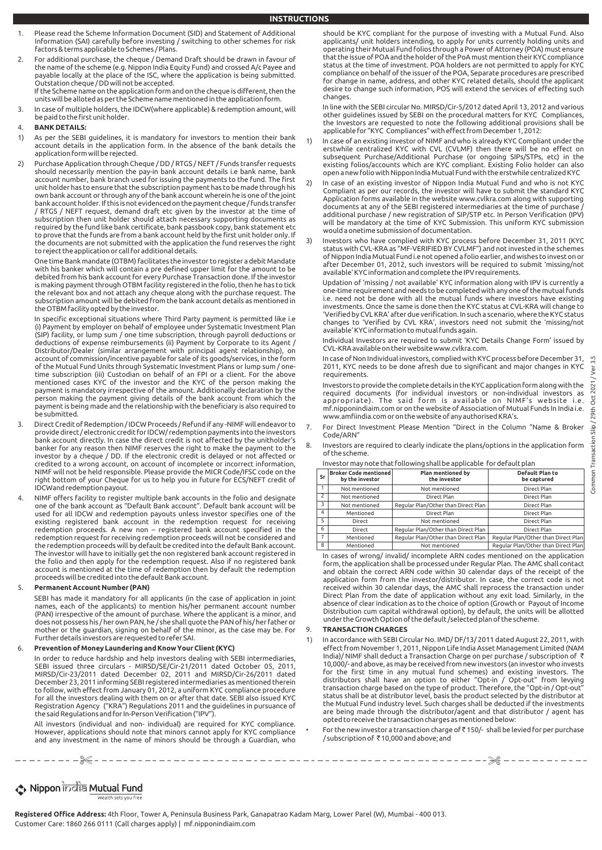- **INSTRUCTIONS**
- Please read the Scheme Information Document (SID) and Statement of Additional Information (SAI) carefully before investing / switching to other schemes for risk factors & terms applicable to Schemes / Plans.
- For additional purchase, the cheque / Demand Draft should be drawn in favour of the name of the scheme (e.g. Nippon India Equity Fund) and crossed A/c Payee and payable locally at the place of the ISC, where the application is being submitted. Outstation cheque / DD will not be accepted. If the Scheme name on the application form and on the cheque is different, then the units will be alloted as per the Scheme name mentioned in the application form.
- 3. In case of multiple holders, the IDCW(where applicable) & redemption amount, will be paid to the first unit holder.

# 4. **BANK DETAILS:**

- 1) As per the SEBI guidelines, it is mandatory for investors to mention their bank account details in the application form. In the absence of the bank details the application form will be rejected.
- 2) Purchase Application through Cheque / DD / RTGS / NEFT / Funds transfer requests should necessarily mention the pay-in bank account details i.e bank name, bank account number, bank branch used for issuing the payments to the fund. The first unit holder has to ensure that the subscription payment has to be made through his own bank account or through any of the bank account wherein he is one of the joint bank account holder. If this is not evidenced on the payment cheque / funds transfer / RTGS / NEFT request, demand draft etc given by the investor at the time of subscription then unit holder should attach necessary supporting documents as required by the fund like bank certificate, bank passbook copy, bank statement etc to prove that the funds are from a bank account held by the first unit holder only. If the documents are not submitted with the application the fund reserves the right to reject the application or call for additional details.

 One time Bank mandate (OTBM) facilitates the investor to register a debit Mandate with his banker which will contain a pre defined upper limit for the amount to be debited from his bank account for every Purchase Transaction done. If the investor is making payment through OTBM facility registered in the folio, then he has to tick the relevant box and not attach any cheque along with the purchase request. The subscription amount will be debited from the bank account details as mentioned in the OTBM facility opted by the investor.

 In specific exceptional situations where Third Party payment is permitted like i.e (i) Payment by employer on behalf of employee under Systematic Investment Plan (SIP) facility, or lump sum / one time subscription, through payroll deductions or<br>deductions of expense reimbursements (ii) Payment by Corporate to its Agent /<br>Distributor/Dealer (similar arrangement with principal agent account of commission/incentive payable for sale of its goods/services, in the form of the Mutual Fund Units through Systematic Investment Plans or lump sum / one-time subscription (iii) Custodian on behalf of an FPI or a client. For the above mentioned cases KYC of the investor and the KYC of the person making the payment is mandatory irrespective of the amount. Additionally declaration by the person making the payment giving details of the bank account from which the payment is being made and the relationship with the beneficiary is also required to be submitted.

- 3. Direct Credit of Redemption / IDCW Proceeds / Refund if any -NIMF will endeavor to provide direct / electronic credit for IDCW/ redemption payments into the investors bank account directly. In case the direct credit is not affected by the unitholder's banker for any reason then NIMF reserves the right to make the payment to the investor by a cheque / DD. If the electronic credit is delayed or not affected or credited to a wrong account, on account of incomplete or incorrect information, NIMF will not be held responsible. Please provide the MICR Code/IFSC code on the right bottom of your Cheque for us to help you in future for ECS/NEFT credit of IDCWand redemption payout.
- 4. NIMF offers facility to register multiple bank accounts in the folio and designate one of the bank account as "Default Bank account". Default bank account will be used for all IDCW and redemption payouts unless investor specifies one of the existing registered bank account in the redemption request for receiving redemption proceeds. A new non – registered bank account specified in the redemption request for receiving redemption proceeds will not be considered and the redemption proceeds will by default be credited into the default Bank account. The investor will have to initially get the non registered bank account registered in the folio and then apply for the redemption request. Also if no registered bank account is mentioned at the time of redemption then by default the redemption proceeds will be credited into the default Bank account.

# 5. **Permanent Account Number (PAN)**

 SEBI has made it mandatory for all applicants (in the case of application in joint names, each of the applicants) to mention his/her permanent account number (PAN) irrespective of the amount of purchase. Where the applicant is a minor, and does not possess his / her own PAN, he / she shall quote the PAN of his/ her father or mother or the guardian, signing on behalf of the minor, as the case may be. For Further details investors are requested to refer SAI.

# 6. **Prevention of Money Laundering and Know Your Client (KYC)**

 In order to reduce hardship and help investors dealing with SEBI intermediaries, SEBI issued three circulars - MIRSD/SE/Cir-21/2011 dated October 05, 2011, MIRSD/Cir-23/2011 dated December 02, 2011 and MIRSD/Cir-26/2011 dated December 23, 2011 informing SEBI registered intermediaries as mentioned therein to follow, with effect from January 01, 2012, a uniform KYC compliance procedure for all the investors dealing with them on or after that date. SEBI also issued KYC Registration Agency ("KRA") Regulations 2011 and the guidelines in pursuance of the said Regulations and for In-Person Verification ("IPV").

 All investors (individual and non- individual) are required for KYC compliance. However, applications should note that minors cannot apply for KYC compliance and any investment in the name of minors should be through a Guardian, who should be KYC compliant for the purpose of investing with a Mutual Fund. Also applicants/ unit holders intending, to apply for units currently holding units and operating their Mutual Fund folios through a Power of Attorney (POA) must ensure that the issue of POA and the holder of the PoA must mention their KYC compliance status at the time of investment. POA holders are not permitted to apply for KYC compliance on behalf of the issuer of the POA, Separate procedures are prescribed for change in name, address, and other KYC related details, should the applicant desire to change such information, POS will extend the services of effecting such changes.

 In line with the SEBI circular No. MIRSD/Cir-5/2012 dated April 13, 2012 and various other guidelines issued by SEBI on the procedural matters for KYC Compliances, the Investors are requested to note the following additional provisions shall be applicable for "KYC Compliances" with effect from December 1, 2012:

- 1) In case of an existing investor of NIMF and who is already KYC Compliant under the erstwhile centralized KYC with CVL (CVLMF) then there will be no effect on subsequent Purchase/Additional Purchase (or ongoing SIPs/STPs, etc) in the existing folios/accounts which are KYC compliant. Existing Folio holder can also open a new folio with Nippon India Mutual Fund with the erstwhile centralized KYC
- 2) In case of an existing investor of Nippon India Mutual Fund and who is not KYC Compliant as per our records, the investor will have to submit the standard KYC Application forms available in the website www.cvlkra.com along with supporting documents at any of the SEBI registered intermediaries at the time of purchase / additional purchase / new registration of SIP/STP etc. In Person Verification (IPV) will be mandatory at the time of KYC Submission. This uniform KYC submission would a onetime submission of documentation.
- 3) Investors who have complied with KYC process before December 31, 2011 (KYC status with CVL-KRA as "MF-VERIFIED BY CVLMF") and not invested in the schemes of Nippon India Mutual Fund i.e not opened a folio earlier, and wishes to invest on or after December 01, 2012, such investors will be required to submit 'missing/not available' KYC information and complete the IPV requirements.

 Updation of 'missing / not available' KYC information along with IPV is currently a one-time requirement and needs to be completed with any one of the mutual funds i.e. need not be done with all the mutual funds where investors have existing investments. Once the same is done then the KYC status at CVL-KRA will change to 'Verified by CVL KRA' after due verification. In such a scenario, where the KYC status changes to 'Verified by CVL KRA', investors need not submit the 'missing/not available' KYC information to mutual funds again.

 Individual Investors are required to submit 'KYC Details Change Form' issued by CVL-KRA available on their website www.cvlkra.com.

 In case of Non Individual investors, complied with KYC process before December 31, 2011, KYC needs to be done afresh due to significant and major changes in KYC requirements.

 Investors to provide the complete details in the KYC application form along with the required documents (for individual investors or non-individual investors as appropriate). The said form is available on NIMF's website i.e. mf.nipponindiaim.com or on the website of Association of Mutual Funds In India i.e. www.amfiindia.com or on the website of any authorised KRA's.

- 7. For Direct Investment Please Mention "Direct in the Column "Name & Broker Code/ARN"
- Investors are required to clearly indicate the plans/options in the application form of the scheme.

| Investor may note that following shall be applicable for default plan |  |
|-----------------------------------------------------------------------|--|
|                                                                       |  |

|                | mixestor may note that rollowing shall be applicable. Tor acroall plan |                                          |                                       |  |  |  |
|----------------|------------------------------------------------------------------------|------------------------------------------|---------------------------------------|--|--|--|
| Sr             | Broker Code mentioned<br>by the investor                               | <b>Plan mentioned by</b><br>the investor | <b>Default Plan to</b><br>be captured |  |  |  |
|                | Not mentioned                                                          | Not mentioned                            | Direct Plan                           |  |  |  |
| $\overline{2}$ | Not mentioned                                                          | Direct Plan                              | Direct Plan                           |  |  |  |
| 3              | Not mentioned                                                          | Regular Plan/Other than Direct Plan      | Direct Plan                           |  |  |  |
| 4              | Mentioned                                                              | Direct Plan                              | Direct Plan                           |  |  |  |
| 5              | Direct                                                                 | Not mentioned                            | Direct Plan                           |  |  |  |
| 6              | <b>Direct</b>                                                          | Regular Plan/Other than Direct Plan      | Direct Plan                           |  |  |  |
| $\overline{7}$ | Mentioned                                                              | Regular Plan/Other than Direct Plan      | Regular Plan/Other than Direct Plan   |  |  |  |
| 8              | Mentioned                                                              | Not mentioned                            | Regular Plan/Other than Direct Plan   |  |  |  |

 In cases of wrong/ invalid/ incomplete ARN codes mentioned on the application form, the application shall be processed under Regular Plan. The AMC shall contact and obtain the correct ARN code within 30 calendar days of the receipt of the application form from the investor/distributor. In case, the correct code is not received within 30 calendar days, the AMC shall reprocess the transaction under Direct Plan from the date of application without any exit load. Similarly, in the absence of clear indication as to the choice of option (Growth or Payout of Income Distribution cum capital withdrawal option), by default, the units will be allotted under the Growth Option of the default /selected plan of the scheme.

# 9. **TRANSACTION CHARGES**

% %

- 1) In accordance with SEBI Circular No. IMD/ DF/13/ 2011 dated August 22, 2011, with effect from November 1, 2011, Nippon Life India Asset Management Limited (NAM India)/ NIMF shall deduct a Transaction Charge on per purchase / subscription of ` 10,000/- and above, as may be received from new investors (an investor who invests for the first time in any mutual fund schemes) and existing investors. The distributors shall have an option to either "Opt-in / Opt-out" from levying transaction charge based on the type of product. Therefore, the "Opt-in / Opt-out" status shall be at distributor level, basis the product selected by the distributor at the Mutual Fund industry level. Such charges shall be deducted if the investments are being made through the distributor/agent and that distributor / agent has opted to receive the transaction charges as mentioned below:
- For the new investor a transaction charge of  $\bar{c}$  150/- shall be levied for per purchase / subscription of ₹10,000 and above; and

### **↑ Nippon** india Mutual Fund Wealth sets you free

**Registered Office Address:** 4th Floor, Tower A, Peninsula Business Park, Ganapatrao Kadam Marg, Lower Parel (W), Mumbai - 400 013. Customer Care: 1860 266 0111 (Call charges apply) | mf.nipponindiaim.com